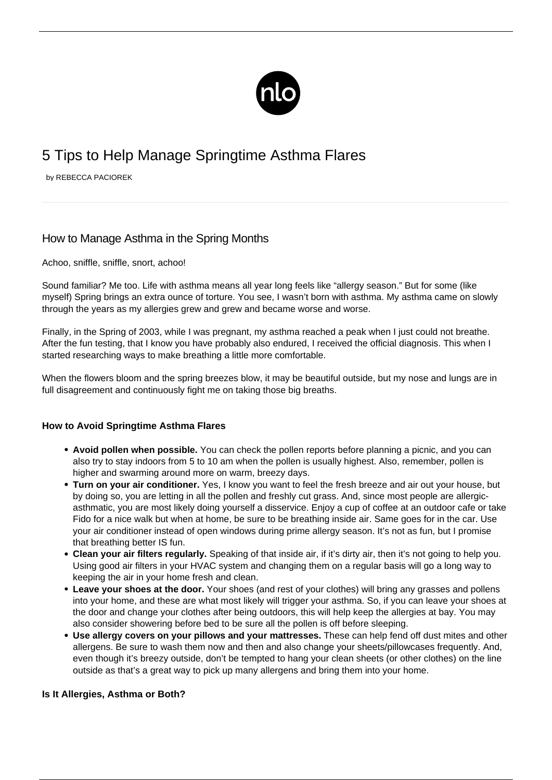

## 5 Tips to Help Manage Springtime Asthma Flares

by REBECCA PACIOREK

## How to Manage Asthma in the Spring Months

Achoo, sniffle, sniffle, snort, achoo!

Sound familiar? Me too. Life with [asthma](/what-is-asthma/) means all year long feels like "allergy season." But for some (like myself) Spring brings an extra ounce of torture. You see, I wasn't born with asthma. My asthma came on slowly through the years as my allergies grew and grew and became worse and worse.

Finally, in the Spring of 2003, while I was pregnant, my asthma reached a peak when I just could not breathe. After the fun testing, that I know you have probably also endured, I received the official diagnosis. This when I started researching ways to make breathing a little more comfortable.

When the flowers bloom and the spring breezes blow, it may be beautiful outside, but my nose and lungs are in full disagreement and continuously fight me on taking those big breaths.

## **How to Avoid Springtime Asthma Flares**

- **Avoid pollen when possible.** You can check the pollen reports before planning a picnic, and you can also try to stay indoors from 5 to 10 am when the pollen is usually highest. Also, remember, pollen is higher and swarming around more on warm, breezy days.
- **Turn on your air conditioner.** Yes, I know you want to feel the fresh breeze and air out your house, but by doing so, you are letting in all the pollen and freshly cut grass. And, since most people are allergicasthmatic, you are most likely doing yourself a disservice. Enjoy a cup of coffee at an outdoor cafe or take Fido for a nice walk but when at home, be sure to be breathing inside air. Same goes for in the car. Use your air conditioner instead of open windows during prime allergy season. It's not as fun, but I promise that breathing better IS fun.
- **Clean your air filters regularly.** Speaking of that inside air, if it's dirty air, then it's not going to help you. Using good air filters in your HVAC system and changing them on a regular basis will go a long way to keeping the air in your home fresh and clean.
- **Leave your shoes at the door.** Your shoes (and rest of your clothes) will bring any grasses and pollens into your home, and these are what most likely will trigger your asthma. So, if you can leave your shoes at the door and change your clothes after being outdoors, this will help keep the allergies at bay. You may also consider showering before bed to be sure all the pollen is off before sleeping.
- **Use allergy covers on your pillows and your mattresses.** These can help fend off dust mites and other allergens. Be sure to wash them now and then and also change your sheets/pillowcases frequently. And, even though it's breezy outside, don't be tempted to hang your clean sheets (or other clothes) on the line outside as that's a great way to pick up many allergens and bring them into your home.

## **Is It Allergies, Asthma or Both?**